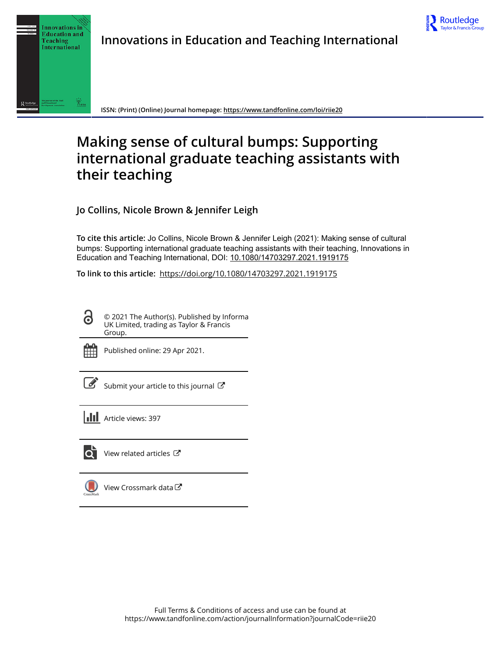



**ISSN: (Print) (Online) Journal homepage:<https://www.tandfonline.com/loi/riie20>**

# **Making sense of cultural bumps: Supporting international graduate teaching assistants with their teaching**

**Jo Collins, Nicole Brown & Jennifer Leigh**

**To cite this article:** Jo Collins, Nicole Brown & Jennifer Leigh (2021): Making sense of cultural bumps: Supporting international graduate teaching assistants with their teaching, Innovations in Education and Teaching International, DOI: [10.1080/14703297.2021.1919175](https://www.tandfonline.com/action/showCitFormats?doi=10.1080/14703297.2021.1919175)

**To link to this article:** <https://doi.org/10.1080/14703297.2021.1919175>

© 2021 The Author(s). Published by Informa UK Limited, trading as Taylor & Francis Group.



Published online: 29 Apr 2021.

[Submit your article to this journal](https://www.tandfonline.com/action/authorSubmission?journalCode=riie20&show=instructions)  $\mathbb{Z}$ 

**III** Article views: 397



[View related articles](https://www.tandfonline.com/doi/mlt/10.1080/14703297.2021.1919175)  $\mathbb{Z}$ 

[View Crossmark data](http://crossmark.crossref.org/dialog/?doi=10.1080/14703297.2021.1919175&domain=pdf&date_stamp=2021-04-29) $\mathbb{Z}$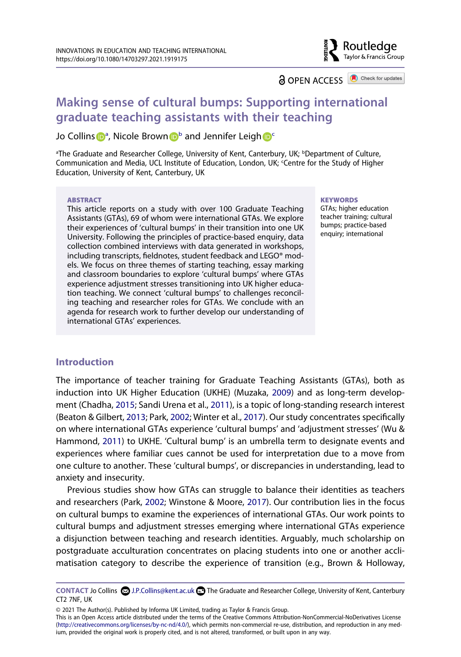## **a** OPEN ACCESS **a** Check for updates

Routledge Taylor & Francis Group

# **Making sense of cultural bumps: Supporting international graduate teaching assistants with their teaching**

Jo Colli[n](http://orcid.org/0000-0002-3307-452X)s **D**<sup>[a](#page-1-0)</sup>, Nicole Brown D<sup>[b](#page-1-0)</sup> and Jennifer Leig[h](http://orcid.org/0000-0002-3672-1462) D<sup>e</sup>

<span id="page-1-1"></span><span id="page-1-0"></span><sup>a</sup>The Graduate and Researcher College, University of Kent, Canterbury, UK; <sup>b</sup>Department of Culture, Communication and Media, UCL Institute of Education, London, UK; Centre for the Study of Higher Education, University of Kent, Canterbury, UK

#### **ABSTRACT**

This article reports on a study with over 100 Graduate Teaching Assistants (GTAs), 69 of whom were international GTAs. We explore their experiences of 'cultural bumps' in their transition into one UK University. Following the principles of practice-based enquiry, data collection combined interviews with data generated in workshops, including transcripts, fieldnotes, student feedback and LEGO® models. We focus on three themes of starting teaching, essay marking and classroom boundaries to explore 'cultural bumps' where GTAs experience adjustment stresses transitioning into UK higher education teaching. We connect 'cultural bumps' to challenges reconciling teaching and researcher roles for GTAs. We conclude with an agenda for research work to further develop our understanding of international GTAs' experiences.

#### **KEYWORDS**

GTAs; higher education teacher training; cultural bumps; practice-based enquiry; international

#### **Introduction**

<span id="page-1-5"></span><span id="page-1-4"></span><span id="page-1-2"></span>The importance of teacher training for Graduate Teaching Assistants (GTAs), both as induction into UK Higher Education (UKHE) (Muzaka, [2009\)](#page-10-0) and as long-term development (Chadha, [2015](#page-10-1); Sandi Urena et al., [2011\)](#page-11-0), is a topic of long-standing research interest (Beaton & Gilbert, [2013;](#page-10-2) Park, [2002;](#page-10-3) Winter et al., [2017](#page-11-1)). Our study concentrates specifically on where international GTAs experience 'cultural bumps' and 'adjustment stresses' (Wu & Hammond, [2011](#page-11-2)) to UKHE. 'Cultural bump' is an umbrella term to designate events and experiences where familiar cues cannot be used for interpretation due to a move from one culture to another. These 'cultural bumps', or discrepancies in understanding, lead to anxiety and insecurity.

<span id="page-1-7"></span><span id="page-1-6"></span>Previous studies show how GTAs can struggle to balance their identities as teachers and researchers (Park, [2002;](#page-10-3) Winstone & Moore, [2017](#page-11-3)). Our contribution lies in the focus on cultural bumps to examine the experiences of international GTAs. Our work points to cultural bumps and adjustment stresses emerging where international GTAs experience a disjunction between teaching and research identities. Arguably, much scholarship on postgraduate acculturation concentrates on placing students into one or another acclimatisation category to describe the experience of transition (e.g., Brown & Holloway,

<span id="page-1-3"></span>**CONTACT Jo Collins 2. J.P.Collins@kent.ac.uk <b>The Graduate and Researcher College, University of Kent, Canterbury** CT2 7NF, UK

<sup>© 2021</sup> The Author(s). Published by Informa UK Limited, trading as Taylor & Francis Group.

This is an Open Access article distributed under the terms of the Creative Commons Attribution-NonCommercial-NoDerivatives License (http://creativecommons.org/licenses/by-nc-nd/4.0/), which permits non-commercial re-use, distribution, and reproduction in any medium, provided the original work is properly cited, and is not altered, transformed, or built upon in any way.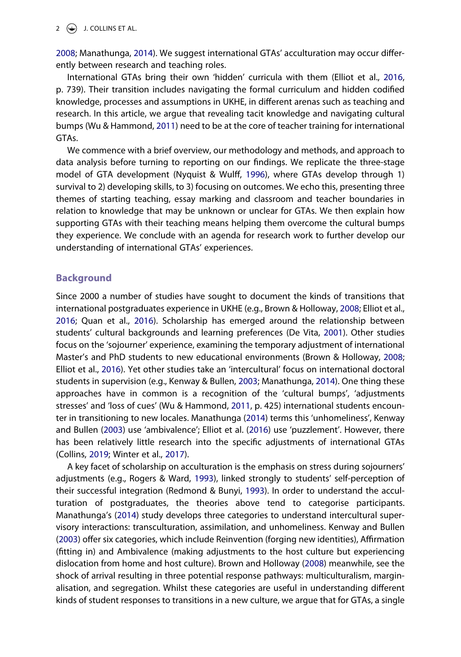[2008;](#page-10-4) Manathunga, [2014\)](#page-10-5). We suggest international GTAs' acculturation may occur differently between research and teaching roles.

International GTAs bring their own 'hidden' curricula with them (Elliot et al., [2016](#page-10-6), p. 739). Their transition includes navigating the formal curriculum and hidden codified knowledge, processes and assumptions in UKHE, in different arenas such as teaching and research. In this article, we argue that revealing tacit knowledge and navigating cultural bumps (Wu & Hammond, [2011\)](#page-11-2) need to be at the core of teacher training for international GTAs.

<span id="page-2-5"></span>We commence with a brief overview, our methodology and methods, and approach to data analysis before turning to reporting on our findings. We replicate the three-stage model of GTA development (Nyquist & Wulff, [1996\)](#page-10-7), where GTAs develop through 1) survival to 2) developing skills, to 3) focusing on outcomes. We echo this, presenting three themes of starting teaching, essay marking and classroom and teacher boundaries in relation to knowledge that may be unknown or unclear for GTAs. We then explain how supporting GTAs with their teaching means helping them overcome the cultural bumps they experience. We conclude with an agenda for research work to further develop our understanding of international GTAs' experiences.

#### **Background**

<span id="page-2-6"></span><span id="page-2-1"></span>Since 2000 a number of studies have sought to document the kinds of transitions that international postgraduates experience in UKHE (e.g., Brown & Holloway, [2008](#page-10-4); Elliot et al., [2016;](#page-10-6) Quan et al., [2016](#page-11-4)). Scholarship has emerged around the relationship between students' cultural backgrounds and learning preferences (De Vita, [2001](#page-10-8)). Other studies focus on the 'sojourner' experience, examining the temporary adjustment of international Master's and PhD students to new educational environments (Brown & Holloway, [2008](#page-10-4); Elliot et al., [2016](#page-10-6)). Yet other studies take an 'intercultural' focus on international doctoral students in supervision (e.g., Kenway & Bullen, [2003;](#page-10-9) Manathunga, [2014\)](#page-10-5). One thing these approaches have in common is a recognition of the 'cultural bumps', 'adjustments stresses' and 'loss of cues' (Wu & Hammond, [2011,](#page-11-2) p. 425) international students encounter in transitioning to new locales. Manathunga [\(2014\)](#page-10-5) terms this 'unhomeliness', Kenway and Bullen ([2003](#page-10-9)) use 'ambivalence'; Elliot et al. ([2016](#page-10-6)) use 'puzzlement'. However, there has been relatively little research into the specific adjustments of international GTAs (Collins, [2019](#page-10-10); Winter et al., [2017](#page-11-1)).

<span id="page-2-8"></span><span id="page-2-7"></span><span id="page-2-4"></span><span id="page-2-3"></span><span id="page-2-2"></span><span id="page-2-0"></span>A key facet of scholarship on acculturation is the emphasis on stress during sojourners' adjustments (e.g., Rogers & Ward, [1993\)](#page-11-5), linked strongly to students' self-perception of their successful integration (Redmond & Bunyi, [1993](#page-11-6)). In order to understand the acculturation of postgraduates, the theories above tend to categorise participants. Manathunga's [\(2014\)](#page-10-5) study develops three categories to understand intercultural supervisory interactions: transculturation, assimilation, and unhomeliness. Kenway and Bullen ([2003](#page-10-9)) offer six categories, which include Reinvention (forging new identities), Affirmation (fitting in) and Ambivalence (making adjustments to the host culture but experiencing dislocation from home and host culture). Brown and Holloway [\(2008\)](#page-10-4) meanwhile, see the shock of arrival resulting in three potential response pathways: multiculturalism, marginalisation, and segregation. Whilst these categories are useful in understanding different kinds of student responses to transitions in a new culture, we argue that for GTAs, a single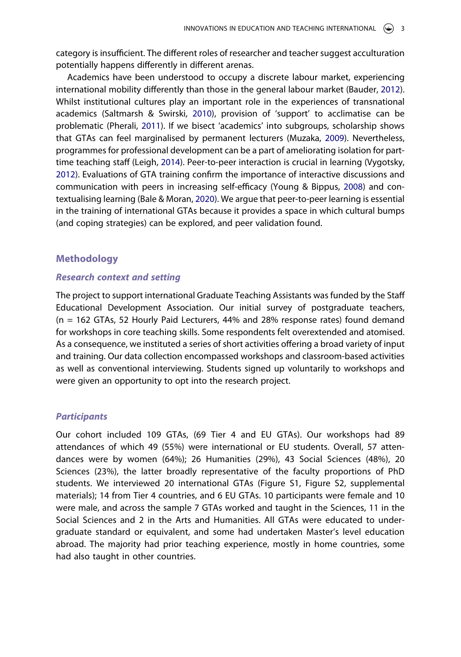category is insufficient. The different roles of researcher and teacher suggest acculturation potentially happens differently in different arenas.

<span id="page-3-4"></span><span id="page-3-3"></span><span id="page-3-2"></span><span id="page-3-1"></span>Academics have been understood to occupy a discrete labour market, experiencing international mobility differently than those in the general labour market (Bauder, [2012](#page-10-11)). Whilst institutional cultures play an important role in the experiences of transnational academics (Saltmarsh & Swirski, [2010\)](#page-11-7), provision of 'support' to acclimatise can be problematic (Pherali, [2011](#page-11-8)). If we bisect 'academics' into subgroups, scholarship shows that GTAs can feel marginalised by permanent lecturers (Muzaka, [2009](#page-10-0)). Nevertheless, programmes for professional development can be a part of ameliorating isolation for parttime teaching staff (Leigh, [2014\)](#page-10-12). Peer-to-peer interaction is crucial in learning (Vygotsky, [2012\)](#page-11-9). Evaluations of GTA training confirm the importance of interactive discussions and communication with peers in increasing self-efficacy (Young & Bippus, [2008](#page-11-10)) and contextualising learning (Bale & Moran, [2020\)](#page-10-13). We argue that peer-to-peer learning is essential in the training of international GTAs because it provides a space in which cultural bumps (and coping strategies) can be explored, and peer validation found.

#### <span id="page-3-5"></span><span id="page-3-0"></span>**Methodology**

#### *Research context and setting*

The project to support international Graduate Teaching Assistants was funded by the Staff Educational Development Association. Our initial survey of postgraduate teachers, (n = 162 GTAs, 52 Hourly Paid Lecturers, 44% and 28% response rates) found demand for workshops in core teaching skills. Some respondents felt overextended and atomised. As a consequence, we instituted a series of short activities offering a broad variety of input and training. Our data collection encompassed workshops and classroom-based activities as well as conventional interviewing. Students signed up voluntarily to workshops and were given an opportunity to opt into the research project.

#### *Participants*

Our cohort included 109 GTAs, (69 Tier 4 and EU GTAs). Our workshops had 89 attendances of which 49 (55%) were international or EU students. Overall, 57 attendances were by women (64%); 26 Humanities (29%), 43 Social Sciences (48%), 20 Sciences (23%), the latter broadly representative of the faculty proportions of PhD students. We interviewed 20 international GTAs (Figure S1, Figure S2, supplemental materials); 14 from Tier 4 countries, and 6 EU GTAs. 10 participants were female and 10 were male, and across the sample 7 GTAs worked and taught in the Sciences, 11 in the Social Sciences and 2 in the Arts and Humanities. All GTAs were educated to undergraduate standard or equivalent, and some had undertaken Master's level education abroad. The majority had prior teaching experience, mostly in home countries, some had also taught in other countries.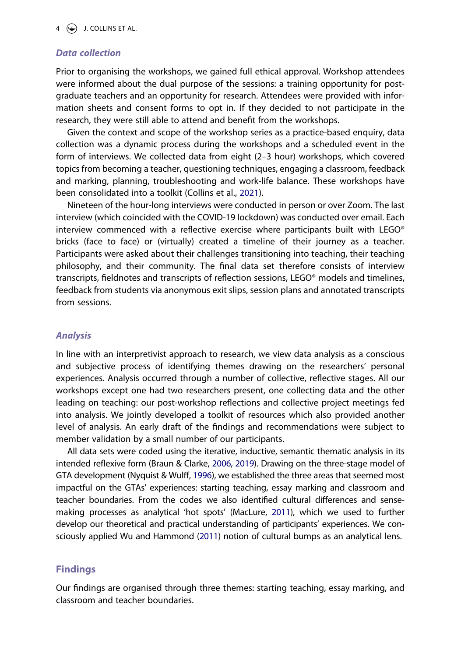#### *Data collection*

Prior to organising the workshops, we gained full ethical approval. Workshop attendees were informed about the dual purpose of the sessions: a training opportunity for postgraduate teachers and an opportunity for research. Attendees were provided with information sheets and consent forms to opt in. If they decided to not participate in the research, they were still able to attend and benefit from the workshops.

Given the context and scope of the workshop series as a practice-based enquiry, data collection was a dynamic process during the workshops and a scheduled event in the form of interviews. We collected data from eight (2–3 hour) workshops, which covered topics from becoming a teacher, questioning techniques, engaging a classroom, feedback and marking, planning, troubleshooting and work-life balance. These workshops have been consolidated into a toolkit (Collins et al., [2021](#page-10-14)).

<span id="page-4-1"></span>Nineteen of the hour-long interviews were conducted in person or over Zoom. The last interview (which coincided with the COVID-19 lockdown) was conducted over email. Each interview commenced with a reflective exercise where participants built with LEGO® bricks (face to face) or (virtually) created a timeline of their journey as a teacher. Participants were asked about their challenges transitioning into teaching, their teaching philosophy, and their community. The final data set therefore consists of interview transcripts, fieldnotes and transcripts of reflection sessions, LEGO® models and timelines, feedback from students via anonymous exit slips, session plans and annotated transcripts from sessions.

#### *Analysis*

In line with an interpretivist approach to research, we view data analysis as a conscious and subjective process of identifying themes drawing on the researchers' personal experiences. Analysis occurred through a number of collective, reflective stages. All our workshops except one had two researchers present, one collecting data and the other leading on teaching: our post-workshop reflections and collective project meetings fed into analysis. We jointly developed a toolkit of resources which also provided another level of analysis. An early draft of the findings and recommendations were subject to member validation by a small number of our participants.

<span id="page-4-2"></span><span id="page-4-0"></span>All data sets were coded using the iterative, inductive, semantic thematic analysis in its intended reflexive form (Braun & Clarke, [2006](#page-10-15), [2019\)](#page-10-16). Drawing on the three-stage model of GTA development (Nyquist & Wulff, [1996\)](#page-10-7), we established the three areas that seemed most impactful on the GTAs' experiences: starting teaching, essay marking and classroom and teacher boundaries. From the codes we also identified cultural differences and sensemaking processes as analytical 'hot spots' (MacLure, [2011\)](#page-10-17), which we used to further develop our theoretical and practical understanding of participants' experiences. We consciously applied Wu and Hammond ([2011\)](#page-11-2) notion of cultural bumps as an analytical lens.

#### **Findings**

Our findings are organised through three themes: starting teaching, essay marking, and classroom and teacher boundaries.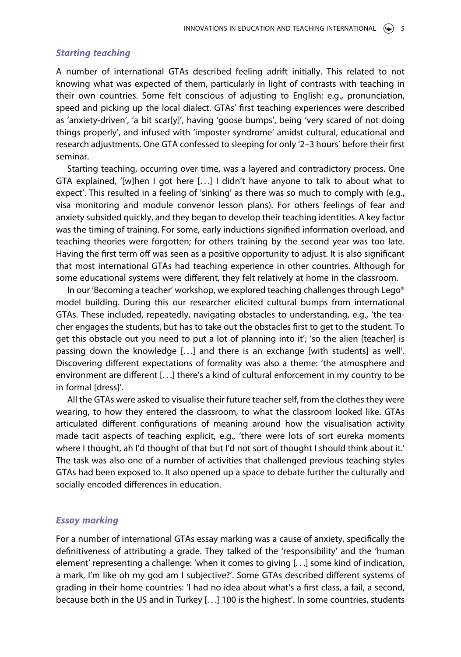#### *Starting teaching*

A number of international GTAs described feeling adrift initially. This related to not knowing what was expected of them, particularly in light of contrasts with teaching in their own countries. Some felt conscious of adjusting to English: e.g., pronunciation, speed and picking up the local dialect. GTAs' first teaching experiences were described as 'anxiety-driven', 'a bit scar[y]', having 'goose bumps', being 'very scared of not doing things properly', and infused with 'imposter syndrome' amidst cultural, educational and research adjustments. One GTA confessed to sleeping for only '2–3 hours' before their first seminar.

Starting teaching, occurring over time, was a layered and contradictory process. One GTA explained, '[w]hen I got here  $[...]$  I didn't have anyone to talk to about what to expect'. This resulted in a feeling of 'sinking' as there was so much to comply with (e.g., visa monitoring and module convenor lesson plans). For others feelings of fear and anxiety subsided quickly, and they began to develop their teaching identities. A key factor was the timing of training. For some, early inductions signified information overload, and teaching theories were forgotten; for others training by the second year was too late. Having the first term off was seen as a positive opportunity to adjust. It is also significant that most international GTAs had teaching experience in other countries. Although for some educational systems were different, they felt relatively at home in the classroom.

In our 'Becoming a teacher' workshop, we explored teaching challenges through Lego® model building. During this our researcher elicited cultural bumps from international GTAs. These included, repeatedly, navigating obstacles to understanding, e.g., 'the teacher engages the students, but has to take out the obstacles first to get to the student. To get this obstacle out you need to put a lot of planning into it'; 'so the alien [teacher] is passing down the knowledge [. . .] and there is an exchange [with students] as well'. Discovering different expectations of formality was also a theme: 'the atmosphere and environment are different [. . .] there's a kind of cultural enforcement in my country to be in formal [dress]'.

All the GTAs were asked to visualise their future teacher self, from the clothes they were wearing, to how they entered the classroom, to what the classroom looked like. GTAs articulated different configurations of meaning around how the visualisation activity made tacit aspects of teaching explicit, e.g., 'there were lots of sort eureka moments where I thought, ah I'd thought of that but I'd not sort of thought I should think about it.' The task was also one of a number of activities that challenged previous teaching styles GTAs had been exposed to. It also opened up a space to debate further the culturally and socially encoded differences in education.

#### *Essay marking*

For a number of international GTAs essay marking was a cause of anxiety, specifically the definitiveness of attributing a grade. They talked of the 'responsibility' and the 'human element' representing a challenge: 'when it comes to giving [. . .] some kind of indication, a mark, I'm like oh my god am I subjective?'. Some GTAs described different systems of grading in their home countries: 'I had no idea about what's a first class, a fail, a second, because both in the US and in Turkey [. . .] 100 is the highest'. In some countries, students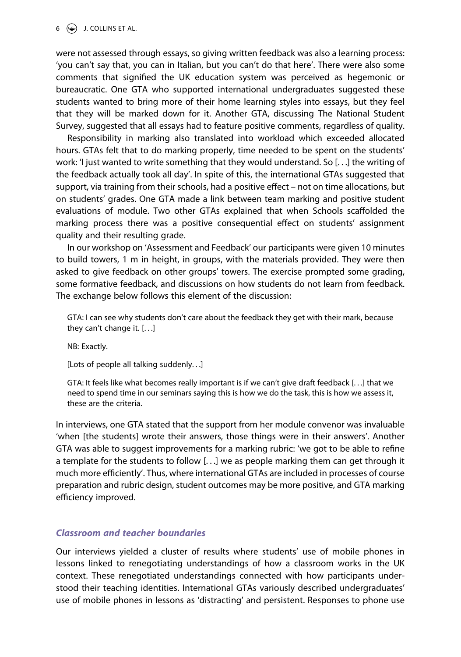were not assessed through essays, so giving written feedback was also a learning process: 'you can't say that, you can in Italian, but you can't do that here'. There were also some comments that signified the UK education system was perceived as hegemonic or bureaucratic. One GTA who supported international undergraduates suggested these students wanted to bring more of their home learning styles into essays, but they feel that they will be marked down for it. Another GTA, discussing The National Student Survey, suggested that all essays had to feature positive comments, regardless of quality.

Responsibility in marking also translated into workload which exceeded allocated hours. GTAs felt that to do marking properly, time needed to be spent on the students' work: 'I just wanted to write something that they would understand. So [. . .] the writing of the feedback actually took all day'. In spite of this, the international GTAs suggested that support, via training from their schools, had a positive effect – not on time allocations, but on students' grades. One GTA made a link between team marking and positive student evaluations of module. Two other GTAs explained that when Schools scaffolded the marking process there was a positive consequential effect on students' assignment quality and their resulting grade.

In our workshop on 'Assessment and Feedback' our participants were given 10 minutes to build towers, 1 m in height, in groups, with the materials provided. They were then asked to give feedback on other groups' towers. The exercise prompted some grading, some formative feedback, and discussions on how students do not learn from feedback. The exchange below follows this element of the discussion:

GTA: I can see why students don't care about the feedback they get with their mark, because they can't change it. [. . .]

NB: Exactly.

[Lots of people all talking suddenly. . .]

GTA: It feels like what becomes really important is if we can't give draft feedback [. . .] that we need to spend time in our seminars saying this is how we do the task, this is how we assess it, these are the criteria.

In interviews, one GTA stated that the support from her module convenor was invaluable 'when [the students] wrote their answers, those things were in their answers'. Another GTA was able to suggest improvements for a marking rubric: 'we got to be able to refine a template for the students to follow [. . .] we as people marking them can get through it much more efficiently'. Thus, where international GTAs are included in processes of course preparation and rubric design, student outcomes may be more positive, and GTA marking efficiency improved.

#### *Classroom and teacher boundaries*

Our interviews yielded a cluster of results where students' use of mobile phones in lessons linked to renegotiating understandings of how a classroom works in the UK context. These renegotiated understandings connected with how participants understood their teaching identities. International GTAs variously described undergraduates' use of mobile phones in lessons as 'distracting' and persistent. Responses to phone use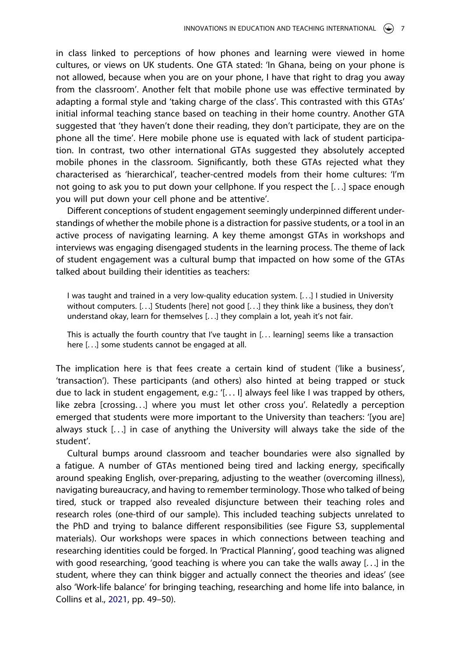in class linked to perceptions of how phones and learning were viewed in home cultures, or views on UK students. One GTA stated: 'In Ghana, being on your phone is not allowed, because when you are on your phone, I have that right to drag you away from the classroom'. Another felt that mobile phone use was effective terminated by adapting a formal style and 'taking charge of the class'. This contrasted with this GTAs' initial informal teaching stance based on teaching in their home country. Another GTA suggested that 'they haven't done their reading, they don't participate, they are on the phone all the time'. Here mobile phone use is equated with lack of student participation. In contrast, two other international GTAs suggested they absolutely accepted mobile phones in the classroom. Significantly, both these GTAs rejected what they characterised as 'hierarchical', teacher-centred models from their home cultures: 'I'm not going to ask you to put down your cellphone. If you respect the [. . .] space enough you will put down your cell phone and be attentive'.

Different conceptions of student engagement seemingly underpinned different understandings of whether the mobile phone is a distraction for passive students, or a tool in an active process of navigating learning. A key theme amongst GTAs in workshops and interviews was engaging disengaged students in the learning process. The theme of lack of student engagement was a cultural bump that impacted on how some of the GTAs talked about building their identities as teachers:

I was taught and trained in a very low-quality education system. [. . .] I studied in University without computers. [. . .] Students [here] not good [. . .] they think like a business, they don't understand okay, learn for themselves [. . .] they complain a lot, yeah it's not fair.

This is actually the fourth country that I've taught in [. . . learning] seems like a transaction here [. . .] some students cannot be engaged at all.

The implication here is that fees create a certain kind of student ('like a business', 'transaction'). These participants (and others) also hinted at being trapped or stuck due to lack in student engagement, e.g.: '[. . . I] always feel like I was trapped by others, like zebra [crossing. . .] where you must let other cross you'. Relatedly a perception emerged that students were more important to the University than teachers: '[you are] always stuck [. . .] in case of anything the University will always take the side of the student'.

Cultural bumps around classroom and teacher boundaries were also signalled by a fatigue. A number of GTAs mentioned being tired and lacking energy, specifically around speaking English, over-preparing, adjusting to the weather (overcoming illness), navigating bureaucracy, and having to remember terminology. Those who talked of being tired, stuck or trapped also revealed disjuncture between their teaching roles and research roles (one-third of our sample). This included teaching subjects unrelated to the PhD and trying to balance different responsibilities (see Figure S3, supplemental materials). Our workshops were spaces in which connections between teaching and researching identities could be forged. In 'Practical Planning', good teaching was aligned with good researching, 'good teaching is where you can take the walls away [. . .] in the student, where they can think bigger and actually connect the theories and ideas' (see also 'Work-life balance' for bringing teaching, researching and home life into balance, in Collins et al., [2021](#page-10-14), pp. 49–50).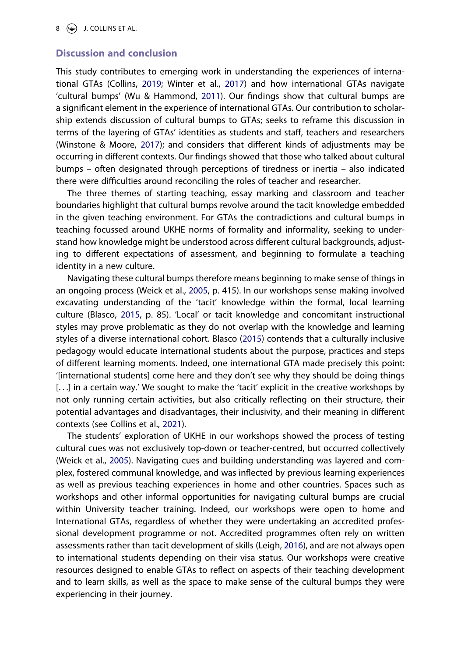#### **Discussion and conclusion**

This study contributes to emerging work in understanding the experiences of international GTAs (Collins, [2019;](#page-10-10) Winter et al., [2017](#page-11-1)) and how international GTAs navigate 'cultural bumps' (Wu & Hammond, [2011](#page-11-2)). Our findings show that cultural bumps are a significant element in the experience of international GTAs. Our contribution to scholarship extends discussion of cultural bumps to GTAs; seeks to reframe this discussion in terms of the layering of GTAs' identities as students and staff, teachers and researchers (Winstone & Moore, [2017\)](#page-11-3); and considers that different kinds of adjustments may be occurring in different contexts. Our findings showed that those who talked about cultural bumps – often designated through perceptions of tiredness or inertia – also indicated there were difficulties around reconciling the roles of teacher and researcher.

The three themes of starting teaching, essay marking and classroom and teacher boundaries highlight that cultural bumps revolve around the tacit knowledge embedded in the given teaching environment. For GTAs the contradictions and cultural bumps in teaching focussed around UKHE norms of formality and informality, seeking to understand how knowledge might be understood across different cultural backgrounds, adjusting to different expectations of assessment, and beginning to formulate a teaching identity in a new culture.

<span id="page-8-0"></span>Navigating these cultural bumps therefore means beginning to make sense of things in an ongoing process (Weick et al., [2005](#page-11-11), p. 415). In our workshops sense making involved excavating understanding of the 'tacit' knowledge within the formal, local learning culture (Blasco, [2015,](#page-10-18) p. 85). 'Local' or tacit knowledge and concomitant instructional styles may prove problematic as they do not overlap with the knowledge and learning styles of a diverse international cohort. Blasco ([2015](#page-10-18)) contends that a culturally inclusive pedagogy would educate international students about the purpose, practices and steps of different learning moments. Indeed, one international GTA made precisely this point: '[international students] come here and they don't see why they should be doing things [...] in a certain way.' We sought to make the 'tacit' explicit in the creative workshops by not only running certain activities, but also critically reflecting on their structure, their potential advantages and disadvantages, their inclusivity, and their meaning in different contexts (see Collins et al., [2021\)](#page-10-14).

<span id="page-8-2"></span><span id="page-8-1"></span>The students' exploration of UKHE in our workshops showed the process of testing cultural cues was not exclusively top-down or teacher-centred, but occurred collectively (Weick et al., [2005\)](#page-11-11). Navigating cues and building understanding was layered and complex, fostered communal knowledge, and was inflected by previous learning experiences as well as previous teaching experiences in home and other countries. Spaces such as workshops and other informal opportunities for navigating cultural bumps are crucial within University teacher training. Indeed, our workshops were open to home and International GTAs, regardless of whether they were undertaking an accredited professional development programme or not. Accredited programmes often rely on written assessments rather than tacit development of skills (Leigh, [2016](#page-10-19)), and are not always open to international students depending on their visa status. Our workshops were creative resources designed to enable GTAs to reflect on aspects of their teaching development and to learn skills, as well as the space to make sense of the cultural bumps they were experiencing in their journey.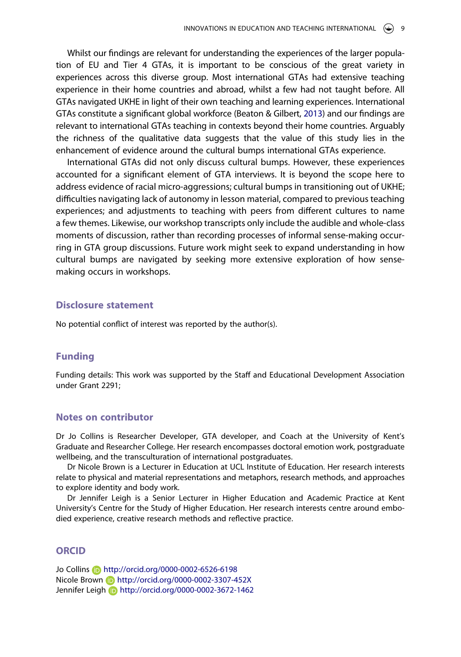Whilst our findings are relevant for understanding the experiences of the larger population of EU and Tier 4 GTAs, it is important to be conscious of the great variety in experiences across this diverse group. Most international GTAs had extensive teaching experience in their home countries and abroad, whilst a few had not taught before. All GTAs navigated UKHE in light of their own teaching and learning experiences. International GTAs constitute a significant global workforce (Beaton & Gilbert, [2013](#page-10-2)) and our findings are relevant to international GTAs teaching in contexts beyond their home countries. Arguably the richness of the qualitative data suggests that the value of this study lies in the enhancement of evidence around the cultural bumps international GTAs experience.

International GTAs did not only discuss cultural bumps. However, these experiences accounted for a significant element of GTA interviews. It is beyond the scope here to address evidence of racial micro-aggressions; cultural bumps in transitioning out of UKHE; difficulties navigating lack of autonomy in lesson material, compared to previous teaching experiences; and adjustments to teaching with peers from different cultures to name a few themes. Likewise, our workshop transcripts only include the audible and whole-class moments of discussion, rather than recording processes of informal sense-making occurring in GTA group discussions. Future work might seek to expand understanding in how cultural bumps are navigated by seeking more extensive exploration of how sensemaking occurs in workshops.

#### **Disclosure statement**

No potential conflict of interest was reported by the author(s).

#### **Funding**

Funding details: This work was supported by the Staff and Educational Development Association under Grant 2291;

#### **Notes on contributor**

Dr Jo Collins is Researcher Developer, GTA developer, and Coach at the University of Kent's Graduate and Researcher College. Her research encompasses doctoral emotion work, postgraduate wellbeing, and the transculturation of international postgraduates.

Dr Nicole Brown is a Lecturer in Education at UCL Institute of Education. Her research interests relate to physical and material representations and metaphors, research methods, and approaches to explore identity and body work.

Dr Jennifer Leigh is a Senior Lecturer in Higher Education and Academic Practice at Kent University's Centre for the Study of Higher Education. Her research interests centre around embodied experience, creative research methods and reflective practice.

#### **ORCID**

Jo Collins http://orcid.org/0000-0002-6526-6198 Nicole Brown **b** http://orcid.org/0000-0002-3307-452X Jennifer Leigh http://orcid.org/0000-0002-3672-1462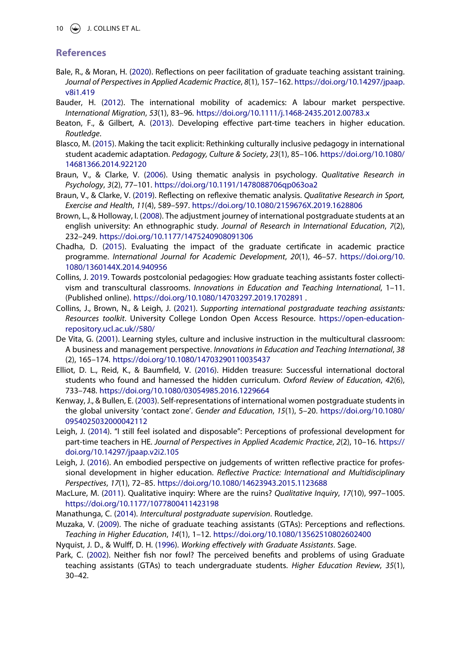10  $\bigcirc$  J. COLLINS ET AL.

## **References**

- <span id="page-10-13"></span>Bale, R., & Moran, H. [\(2020](#page-3-0)). Reflections on peer facilitation of graduate teaching assistant training. *Journal of Perspectives in Applied Academic Practice*, *8*(1), 157–162. [https://doi.org/10.14297/jpaap.](https://doi.org/10.14297/jpaap.v8i1.419) [v8i1.419](https://doi.org/10.14297/jpaap.v8i1.419)
- <span id="page-10-11"></span>Bauder, H. [\(2012](#page-3-1)). The international mobility of academics: A labour market perspective. *International Migration*, *53*(1), 83–96. <https://doi.org/10.1111/j.1468-2435.2012.00783.x>
- <span id="page-10-2"></span>Beaton, F., & Gilbert, A. ([2013](#page-1-2)). Developing effective part-time teachers in higher education. *Routledge*.
- <span id="page-10-18"></span>Blasco, M. ([2015](#page-8-0)). Making the tacit explicit: Rethinking culturally inclusive pedagogy in international student academic adaptation. *Pedagogy, Culture & Society*, *23*(1), 85–106. [https://doi.org/10.1080/](https://doi.org/10.1080/14681366.2014.922120) [14681366.2014.922120](https://doi.org/10.1080/14681366.2014.922120)
- <span id="page-10-15"></span>Braun, V., & Clarke, V. ([2006](#page-4-0)). Using thematic analysis in psychology. *Qualitative Research in Psychology*, *3*(2), 77–101. <https://doi.org/10.1191/1478088706qp063oa2>
- <span id="page-10-16"></span>Braun, V., & Clarke, V. ([2019](#page-4-0)). Reflecting on reflexive thematic analysis. *Qualitative Research in Sport, Exercise and Health*, *11*(4), 589–597. <https://doi.org/10.1080/2159676X.2019.1628806>
- <span id="page-10-4"></span>Brown, L., & Holloway, I. [\(2008\)](#page-1-3). The adjustment journey of international postgraduate students at an english university: An ethnographic study. *Journal of Research in International Education*, *7*(2), 232–249. <https://doi.org/10.1177/1475240908091306>
- <span id="page-10-1"></span>Chadha, D. [\(2015\)](#page-1-4). Evaluating the impact of the graduate certificate in academic practice programme. *International Journal for Academic Development*, *20*(1), 46–57. [https://doi.org/10.](https://doi.org/10.1080/1360144X.2014.940956) [1080/1360144X.2014.940956](https://doi.org/10.1080/1360144X.2014.940956)
- <span id="page-10-10"></span>Collins, J. [2019](#page-2-0). Towards postcolonial pedagogies: How graduate teaching assistants foster collectivism and transcultural classrooms. *Innovations in Education and Teaching International*, 1–11. (Published online). <https://doi.org/10.1080/14703297.2019.1702891>.
- <span id="page-10-14"></span>Collins, J., Brown, N., & Leigh, J. ([2021\)](#page-4-1). *Supporting international postgraduate teaching assistants: Resources toolkit*. University College London Open Access Resource. [https://open-education](https://open-education-repository.ucl.ac.uk//580/)[repository.ucl.ac.uk//580/](https://open-education-repository.ucl.ac.uk//580/)
- <span id="page-10-8"></span>De Vita, G. [\(2001\)](#page-2-1). Learning styles, culture and inclusive instruction in the multicultural classroom: A business and management perspective. *Innovations in Education and Teaching International*, *38*  (2), 165–174. <https://doi.org/10.1080/14703290110035437>
- <span id="page-10-6"></span>Elliot, D. L., Reid, K., & Baumfield, V. [\(2016](#page-2-2)). Hidden treasure: Successful international doctoral students who found and harnessed the hidden curriculum. *Oxford Review of Education*, *42*(6), 733–748. <https://doi.org/10.1080/03054985.2016.1229664>
- <span id="page-10-9"></span>Kenway, J., & Bullen, E. [\(2003\)](#page-2-3). Self-representations of international women postgraduate students in the global university 'contact zone'. *Gender and Education*, *15*(1), 5–20. [https://doi.org/10.1080/](https://doi.org/10.1080/0954025032000042112) [0954025032000042112](https://doi.org/10.1080/0954025032000042112)
- <span id="page-10-12"></span>Leigh, J. ([2014](#page-3-2)). "I still feel isolated and disposable": Perceptions of professional development for part-time teachers in HE. *Journal of Perspectives in Applied Academic Practice*, *2*(2), 10–16. [https://](https://doi.org/10.14297/jpaap.v2i2.105) [doi.org/10.14297/jpaap.v2i2.105](https://doi.org/10.14297/jpaap.v2i2.105)
- <span id="page-10-19"></span>Leigh, J. ([2016](#page-8-1)). An embodied perspective on judgements of written reflective practice for professional development in higher education. *Reflective Practice: International and Multidisciplinary Perspectives*, *17*(1), 72–85. <https://doi.org/10.1080/14623943.2015.1123688>
- <span id="page-10-17"></span>MacLure, M. [\(2011\)](#page-4-2). Qualitative inquiry: Where are the ruins? *Qualitative Inquiry*, *17*(10), 997–1005. <https://doi.org/10.1177/1077800411423198>
- <span id="page-10-5"></span>Manathunga, C. ([2014](#page-2-4)). *Intercultural postgraduate supervision*. Routledge.
- <span id="page-10-0"></span>Muzaka, V. ([2009](#page-1-5)). The niche of graduate teaching assistants (GTAs): Perceptions and reflections. *Teaching in Higher Education*, *14*(1), 1–12. <https://doi.org/10.1080/13562510802602400>
- <span id="page-10-7"></span>Nyquist, J. D., & Wulff, D. H. ([1996](#page-2-5)). *Working effectively with Graduate Assistants*. Sage.
- <span id="page-10-3"></span>Park, C. [\(2002\)](#page-1-6). Neither fish nor fowl? The perceived benefits and problems of using Graduate teaching assistants (GTAs) to teach undergraduate students. *Higher Education Review*, *35*(1), 30–42.